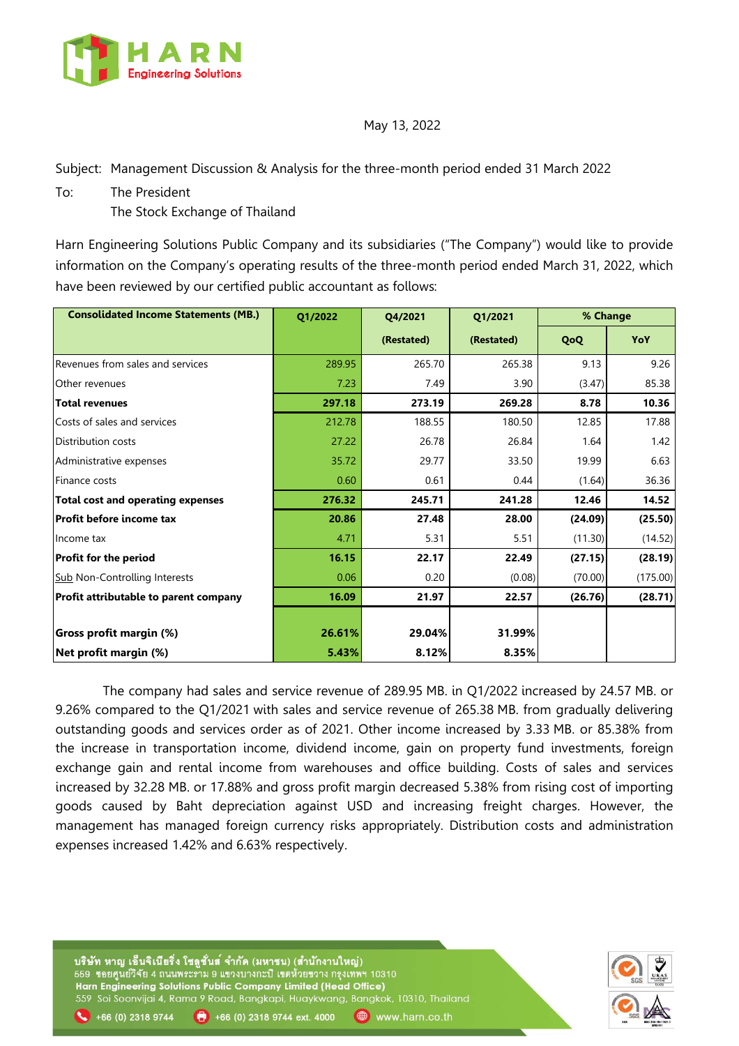

May 13, 2022

Subject: Management Discussion & Analysis for the three-month period ended 31 March 2022

To: The President

The Stock Exchange of Thailand

Harn Engineering Solutions Public Company and its subsidiaries ("The Company") would like to provide information on the Company's operating results of the three-month period ended March 31, 2022, which have been reviewed by our certified public accountant as follows:

| <b>Consolidated Income Statements (MB.)</b> | Q1/2022 | Q4/2021    | Q1/2021    | % Change |          |
|---------------------------------------------|---------|------------|------------|----------|----------|
|                                             |         | (Restated) | (Restated) | QoQ      | YoY      |
| Revenues from sales and services            | 289.95  | 265.70     | 265.38     | 9.13     | 9.26     |
| Other revenues                              | 7.23    | 7.49       | 3.90       | (3.47)   | 85.38    |
| <b>Total revenues</b>                       | 297.18  | 273.19     | 269.28     | 8.78     | 10.36    |
| Costs of sales and services                 | 212.78  | 188.55     | 180.50     | 12.85    | 17.88    |
| Distribution costs                          | 27.22   | 26.78      | 26.84      | 1.64     | 1.42     |
| Administrative expenses                     | 35.72   | 29.77      | 33.50      | 19.99    | 6.63     |
| Finance costs                               | 0.60    | 0.61       | 0.44       | (1.64)   | 36.36    |
| <b>Total cost and operating expenses</b>    | 276.32  | 245.71     | 241.28     | 12.46    | 14.52    |
| Profit before income tax                    | 20.86   | 27.48      | 28.00      | (24.09)  | (25.50)  |
| Income tax                                  | 4.71    | 5.31       | 5.51       | (11.30)  | (14.52)  |
| <b>Profit for the period</b>                | 16.15   | 22.17      | 22.49      | (27.15)  | (28.19)  |
| <b>Sub Non-Controlling Interests</b>        | 0.06    | 0.20       | (0.08)     | (70.00)  | (175.00) |
| Profit attributable to parent company       | 16.09   | 21.97      | 22.57      | (26.76)  | (28.71)  |
|                                             |         |            |            |          |          |
| Gross profit margin (%)                     | 26.61%  | 29.04%     | 31.99%     |          |          |
| Net profit margin (%)                       | 5.43%   | 8.12%      | 8.35%      |          |          |

 The company had sales and service revenue of 289.95 MB. in Q1/2022 increased by 24.57 MB. or 9.26% compared to the Q1/2021 with sales and service revenue of 265.38 MB. from gradually delivering outstanding goods and services order as of 2021. Other income increased by 3.33 MB. or 85.38% from the increase in transportation income, dividend income, gain on property fund investments, foreign exchange gain and rental income from warehouses and office building. Costs of sales and services increased by 32.28 MB. or 17.88% and gross profit margin decreased 5.38% from rising cost of importing goods caused by Baht depreciation against USD and increasing freight charges. However, the management has managed foreign currency risks appropriately. Distribution costs and administration expenses increased 1.42% and 6.63% respectively.

www.harn.co.th

บริษัท หาญ เอ็นจิเนียริ่ง โซลูชั่นส<sup>์</sup> จำกัด (มหาชน) (สำนักงานใหญ่)<br>559 ขอยศูนย์วิจัย 4 ถนนพระราม 9 แขวงบางกะปิ เขตห้วยขวาง กรุงเทพฯ 10310 Harn Engineering Solutions Public Company Limited (Head Office) 559 Soi Soonvijai 4, Rama 9 Road, Bangkapi, Huaykwang, Bangkok, 10310, Thailand

 $+66(0)$  2318 9744 ext. 4000

 $+66(0)$  2318 9744